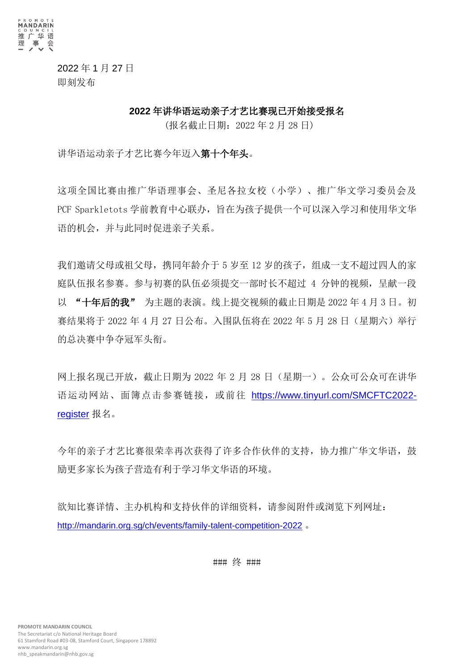

2022 年 1 月 27 日 即刻发布

#### **2022** 年讲华语运动亲子才艺比赛现已开始接受报名

(报名截止日期:2022 年 2 月 28 日)

讲华语运动亲子才艺比赛今年迈入第十个年头。

这项全国比赛由推广华语理事会、圣尼各拉女校(小学)、推广华文学习委员会及 PCF Sparkletots 学前教育中心联办,旨在为孩子提供一个可以深入学习和使用华文华 语的机会,并与此同时促进亲子关系。

我们邀请父母或祖父母,携同年龄介于 5 岁至 12 岁的孩子,组成一支不超过四人的家 庭队伍报名参赛。参与初赛的队伍必须提交一部时长不超过 4 分钟的视频,呈献一段 以 "十年后的我" 为主题的表演。线上提交视频的截止日期是 2022 年 4 月 3 日。初 赛结果将于 2022 年 4 月 27 日公布。入围队伍将在 2022 年 5 月 28 日(星期六)举行 的总决赛中争夺冠军头衔。

网上报名现已开放,截止日期为 2022 年 2 月 28 日(星期一)。公众可公众可在讲华 语运动网站、面簿点击参赛链接,或前往 [https://www.tinyurl.com/SMCFTC2022](https://www.tinyurl.com/SMCFTC2022-register) [register](https://www.tinyurl.com/SMCFTC2022-register) 报名。

今年的亲子才艺比赛很荣幸再次获得了许多合作伙伴的支持,协力推广华文华语,鼓 励更多家长为孩子营造有利于学习华文华语的环境。

欲知比赛详情、主办机构和支持伙伴的详细资料,请参阅附件或浏览下列网址: <http://mandarin.org.sg/ch/events/family-talent-competition-2022> 。

### 终 ###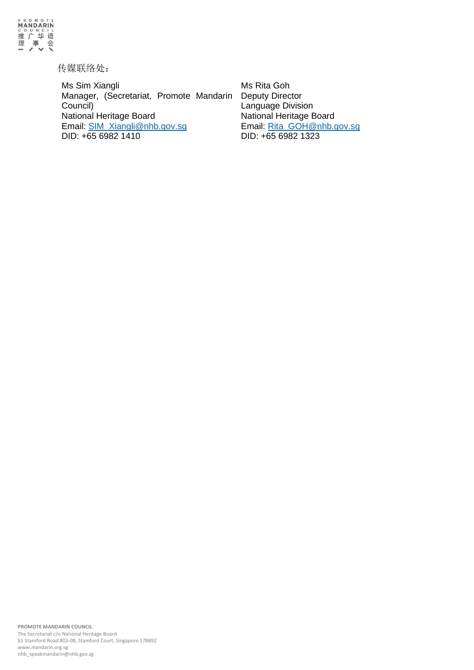

传媒联络处:

Ms Sim Xiangli Manager, (Secretariat, Promote Mandarin Council) National Heritage Board Email: [SIM\\_Xiangli@nhb.gov.sg](mailto:SIM_Xiangli@nhb.gov.sg) DID: +65 6982 1410

Ms Rita Goh Deputy Director Language Division National Heritage Board Email: [Rita\\_GOH@nhb.gov.sg](mailto:Rita_GOH@nhb.gov.sg) DID: +65 6982 1323

**PROMOTE MANDARIN COUNCIL** The Secretariat c/o National Heritage Board 61 Stamford Road #03-08, Stamford Court, Singapore 178892 [www.mandarin.org.sg](http://www.mandarin.org.sg/) nhb\_speakmandarin@nhb.gov.sg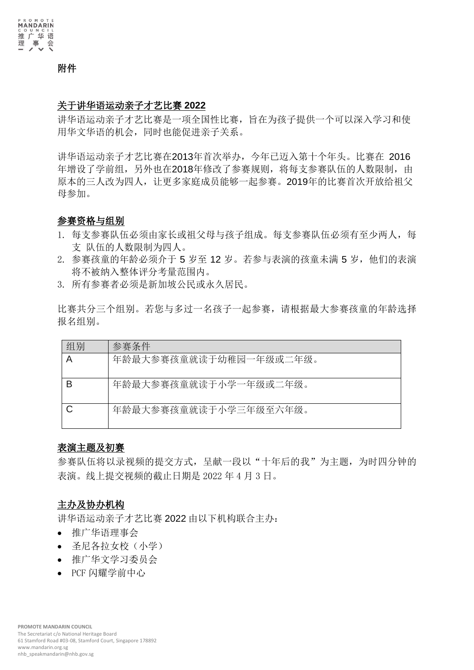

附件

## 关于讲华语运动亲子才艺比赛 **2022**

讲华语运动亲子才艺比赛是一项全国性比赛,旨在为孩子提供一个可以深入学习和使 用华文华语的机会,同时也能促进亲子关系。

讲华语运动亲子才艺比赛在2013年首次举办,今年已迈入第十个年头。比赛在 2016 年增设了学前组,另外也在2018年修改了参赛规则,将每支参赛队伍的人数限制,由 原本的三人改为四人,让更多家庭成员能够一起参赛。2019年的比赛首次开放给祖父 母参加。

### 参赛资格与组别

- 1. 每支参寨队伍必须由家长或祖父母与孩子组成。每支参寨队伍必须有至少两人,每 支 队伍的人数限制为四人。
- 2. 参赛孩童的年龄必须介于 5 岁至 12 岁。若参与表演的孩童未满 5 岁, 他们的表演 将不被纳入整体评分考量范围内。
- 3. 所有参赛者必须是新加坡公民或永久居民。

比赛共分三个组别。若您与多过一名孩子一起参赛,请根据最大参赛孩童的年龄选择 报名组别。

| 组别 | 参赛条件                   |
|----|------------------------|
|    | 年龄最大参赛孩童就读于幼稚园一年级或二年级。 |
|    | 年龄最大参赛孩童就读于小学一年级或二年级。  |
|    | 年龄最大参赛孩童就读于小学三年级至六年级。  |

### 表演主题及初赛

参赛队伍将以录视频的提交方式,呈献一段以"十年后的我"为主题,为时四分钟的 表演。线上提交视频的截止日期是 2022 年 4 月 3 日。

## 主办及协办机构

讲华语运动亲子才艺比赛 2022 由以下机构联合主办:

- 推广华语理事会
- 圣尼各拉女校(小学)
- 推广华文学习委员会
- PCF 闪耀学前中心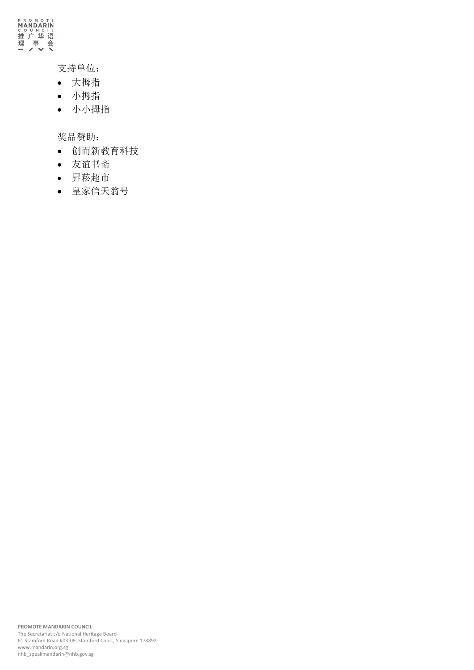

# 支持单位:

- 大拇指
- 小拇指
- 小小拇指

奖品赞助:

- 创而新教育科技
- 友谊书斋
- 昇菘超市
- 皇家信天翁号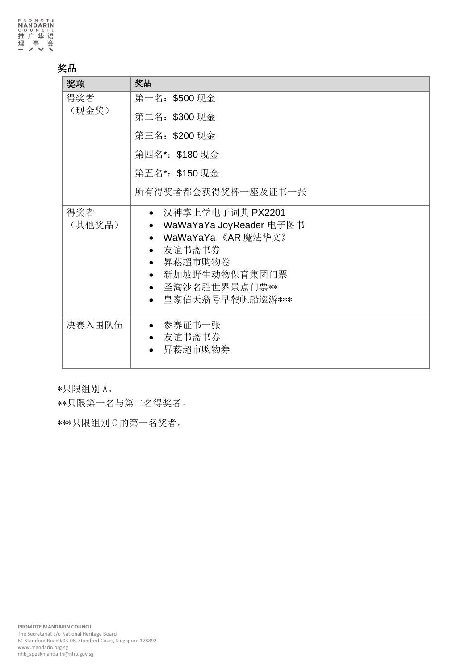## 奖品

| 奖项            | 奖品                                                                                                                                                                                                                                     |
|---------------|----------------------------------------------------------------------------------------------------------------------------------------------------------------------------------------------------------------------------------------|
| 得奖者           | 第一名: \$500 现金                                                                                                                                                                                                                          |
| (现金奖)         | 第二名: \$300 现金                                                                                                                                                                                                                          |
|               | 第三名: \$200 现金                                                                                                                                                                                                                          |
|               | 第四名*: \$180 现金                                                                                                                                                                                                                         |
|               | 第五名*: \$150 现金                                                                                                                                                                                                                         |
|               | 所有得奖者都会获得奖杯一座及证书一张                                                                                                                                                                                                                     |
| 得奖者<br>(其他奖品) | 汉神掌上学电子词典 PX2201<br>$\bullet$<br>WaWaYaYa JoyReader 电子图书<br>$\bullet$<br>WaWaYaYa 《AR 魔法华文》<br>$\bullet$<br>友谊书斋书券<br>$\bullet$<br>昇菘超市购物卷<br>$\bullet$<br>新加坡野生动物保育集团门票<br>圣淘沙名胜世界景点门票**<br>$\bullet$<br>皇家信天翁号早餐帆船巡游***<br>$\bullet$ |
| 决赛入围队伍        | 参赛证书一张<br>友谊书斋书券<br>昇菘超市购物券                                                                                                                                                                                                            |

\*只限组别 A。

\*\*只限第一名与第二名得奖者。

\*\*\*只限组别 C 的第一名奖者。